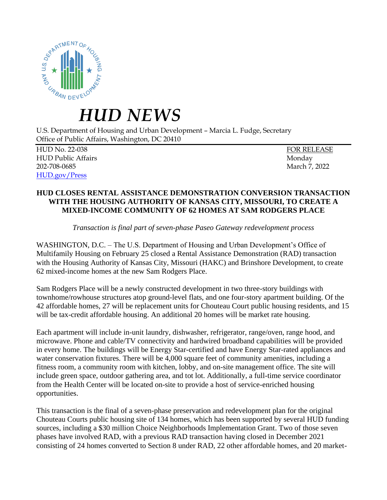

## *HUD NEWS*

U.S. Department of Housing and Urban Development – Marcia L. Fudge, Secretary Office of Public Affairs, Washington, DC 20410

HUD No. 22-038 FOR RELEASE HUD Public Affairs Monday 202-708-0685 March 7, 2022 [HUD.gov/Press](https://www.hud.gov/press)

## **HUD CLOSES RENTAL ASSISTANCE DEMONSTRATION CONVERSION TRANSACTION WITH THE HOUSING AUTHORITY OF KANSAS CITY, MISSOURI, TO CREATE A MIXED-INCOME COMMUNITY OF 62 HOMES AT SAM RODGERS PLACE**

*Transaction is final part of seven-phase Paseo Gateway redevelopment process*

WASHINGTON, D.C. – The U.S. Department of Housing and Urban Development's Office of Multifamily Housing on February 25 closed a Rental Assistance Demonstration (RAD) transaction with the Housing Authority of Kansas City, Missouri (HAKC) and Brinshore Development, to create 62 mixed-income homes at the new Sam Rodgers Place.

Sam Rodgers Place will be a newly constructed development in two three-story buildings with townhome/rowhouse structures atop ground-level flats, and one four-story apartment building. Of the 42 affordable homes, 27 will be replacement units for Chouteau Court public housing residents, and 15 will be tax-credit affordable housing. An additional 20 homes will be market rate housing.

Each apartment will include in-unit laundry, dishwasher, refrigerator, range/oven, range hood, and microwave. Phone and cable/TV connectivity and hardwired broadband capabilities will be provided in every home. The buildings will be Energy Star-certified and have Energy Star-rated appliances and water conservation fixtures. There will be 4,000 square feet of community amenities, including a fitness room, a community room with kitchen, lobby, and on-site management office. The site will include green space, outdoor gathering area, and tot lot. Additionally, a full-time service coordinator from the Health Center will be located on-site to provide a host of service-enriched housing opportunities.

This transaction is the final of a seven-phase preservation and redevelopment plan for the original Chouteau Courts public housing site of 134 homes, which has been supported by several HUD funding sources, including a \$30 million Choice Neighborhoods Implementation Grant. Two of those seven phases have involved RAD, with a previous RAD transaction having closed in December 2021 consisting of 24 homes converted to Section 8 under RAD, 22 other affordable homes, and 20 market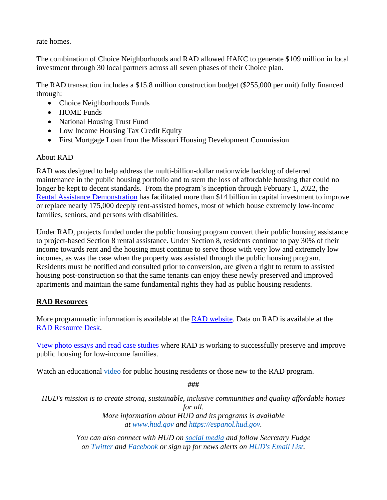rate homes.

The combination of Choice Neighborhoods and RAD allowed HAKC to generate \$109 million in local investment through 30 local partners across all seven phases of their Choice plan.

The RAD transaction includes a \$15.8 million construction budget (\$255,000 per unit) fully financed through:

- Choice Neighborhoods Funds
- HOME Funds
- National Housing Trust Fund
- Low Income Housing Tax Credit Equity
- First Mortgage Loan from the Missouri Housing Development Commission

## About RAD

RAD was designed to help address the multi-billion-dollar nationwide backlog of deferred maintenance in the public housing portfolio and to stem the loss of affordable housing that could no longer be kept to decent standards. From the program's inception through February 1, 2022, the [Rental Assistance Demonstration](https://www.hud.gov/RAD) has facilitated more than \$14 billion in capital investment to improve or replace nearly 175,000 deeply rent-assisted homes, most of which house extremely low-income families, seniors, and persons with disabilities.

Under RAD, projects funded under the public housing program convert their public housing assistance to project-based Section 8 rental assistance. Under Section 8, residents continue to pay 30% of their income towards rent and the housing must continue to serve those with very low and extremely low incomes, as was the case when the property was assisted through the public housing program. Residents must be notified and consulted prior to conversion, are given a right to return to assisted housing post-construction so that the same tenants can enjoy these newly preserved and improved apartments and maintain the same fundamental rights they had as public housing residents.

## **RAD Resources**

More programmatic information is available at the [RAD website.](file:///C:/Users/heny.schleifer/Downloads/HUD.gov/rad) Data on RAD is available at the [RAD Resource Desk.](https://www.radresource.net/pha_data2020.cfm)

[View photo essays and read case studies](https://www.hud.gov/RAD/news/case-studies) where RAD is working to successfully preserve and improve public housing for low-income families.

Watch an educational [video](https://www.youtube.com/watch?v=9bedPX6i5Rg) for public housing residents or those new to the RAD program.

**###**

*HUD's mission is to create strong, sustainable, inclusive communities and quality affordable homes for all. More information about HUD and its programs is available at [www.hud.gov](https://www.hud.gov/) and [https://espanol.hud.gov.](https://espanol.hud.gov/)*

> *You can also connect with HUD on [social media](https://www.hud.gov/program_offices/public_affairs/socialmedia) and follow Secretary Fudge on [Twitter](https://twitter.com/SecFudge) and [Facebook](https://www.facebook.com/SecFudge) or sign up for news alerts on [HUD's Email List.](https://www.hud.gov/subscribe/signup?listname=HUD%20News&list=HUD-NEWS-L)*